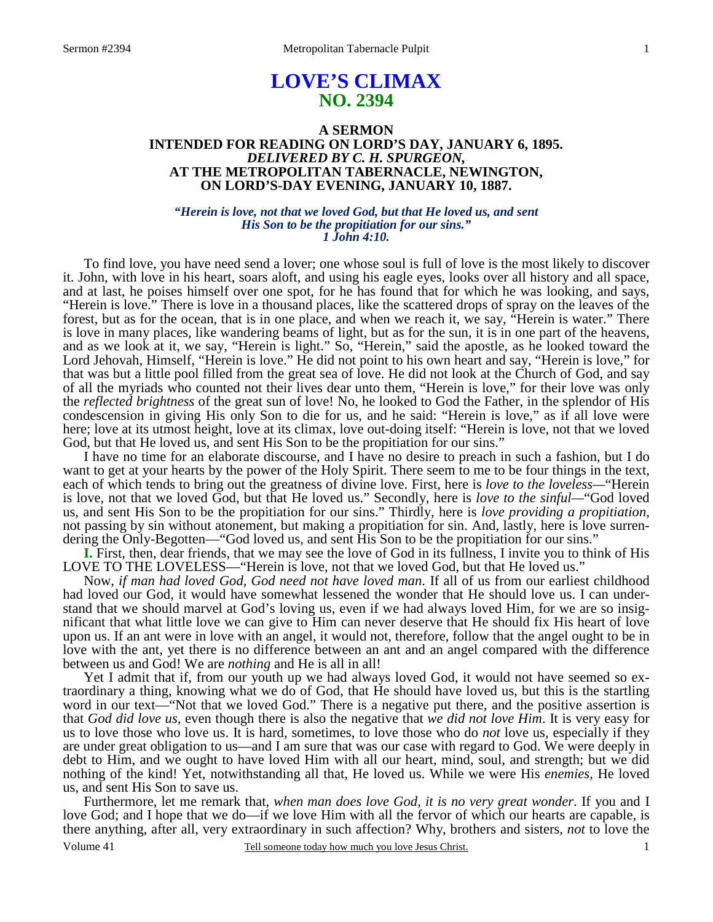# **LOVE'S CLIMAX NO. 2394**

## **A SERMON INTENDED FOR READING ON LORD'S DAY, JANUARY 6, 1895.**  *DELIVERED BY C. H. SPURGEON,*  **AT THE METROPOLITAN TABERNACLE, NEWINGTON, ON LORD'S-DAY EVENING, JANUARY 10, 1887.**

#### *"Herein is love, not that we loved God, but that He loved us, and sent His Son to be the propitiation for our sins." 1 John 4:10.*

To find love, you have need send a lover; one whose soul is full of love is the most likely to discover it. John, with love in his heart, soars aloft, and using his eagle eyes, looks over all history and all space, and at last, he poises himself over one spot, for he has found that for which he was looking, and says, "Herein is love." There is love in a thousand places, like the scattered drops of spray on the leaves of the forest, but as for the ocean, that is in one place, and when we reach it, we say, "Herein is water." There is love in many places, like wandering beams of light, but as for the sun, it is in one part of the heavens, and as we look at it, we say, "Herein is light." So, "Herein," said the apostle, as he looked toward the Lord Jehovah, Himself, "Herein is love." He did not point to his own heart and say, "Herein is love," for that was but a little pool filled from the great sea of love. He did not look at the Church of God, and say of all the myriads who counted not their lives dear unto them, "Herein is love," for their love was only the *reflected brightness* of the great sun of love! No, he looked to God the Father, in the splendor of His condescension in giving His only Son to die for us, and he said: "Herein is love," as if all love were here; love at its utmost height, love at its climax, love out-doing itself: "Herein is love, not that we loved God, but that He loved us, and sent His Son to be the propitiation for our sins."

 I have no time for an elaborate discourse, and I have no desire to preach in such a fashion, but I do want to get at your hearts by the power of the Holy Spirit. There seem to me to be four things in the text, each of which tends to bring out the greatness of divine love. First, here is *love to the loveless—*"Herein is love, not that we loved God, but that He loved us." Secondly, here is *love to the sinful—*"God loved us, and sent His Son to be the propitiation for our sins." Thirdly, here is *love providing a propitiation*, not passing by sin without atonement, but making a propitiation for sin. And, lastly, here is love surrendering the Only-Begotten—"God loved us, and sent His Son to be the propitiation for our sins."

**I.** First, then, dear friends, that we may see the love of God in its fullness, I invite you to think of His LOVE TO THE LOVELESS—"Herein is love, not that we loved God, but that He loved us."

 Now, *if man had loved God, God need not have loved man*. If all of us from our earliest childhood had loved our God, it would have somewhat lessened the wonder that He should love us. I can understand that we should marvel at God's loving us, even if we had always loved Him, for we are so insignificant that what little love we can give to Him can never deserve that He should fix His heart of love upon us. If an ant were in love with an angel, it would not, therefore, follow that the angel ought to be in love with the ant, yet there is no difference between an ant and an angel compared with the difference between us and God! We are *nothing* and He is all in all!

 Yet I admit that if, from our youth up we had always loved God, it would not have seemed so extraordinary a thing, knowing what we do of God, that He should have loved us, but this is the startling word in our text—"Not that we loved God." There is a negative put there, and the positive assertion is that *God did love us,* even though there is also the negative that *we did not love Him*. It is very easy for us to love those who love us. It is hard, sometimes, to love those who do *not* love us, especially if they are under great obligation to us—and I am sure that was our case with regard to God. We were deeply in debt to Him, and we ought to have loved Him with all our heart, mind, soul, and strength; but we did nothing of the kind! Yet, notwithstanding all that, He loved us. While we were His *enemies,* He loved us, and sent His Son to save us.

Volume 41 Tell someone today how much you love Jesus Christ. 1 1 Furthermore, let me remark that, *when man does love God, it is no very great wonder*. If you and I love God; and I hope that we do—if we love Him with all the fervor of which our hearts are capable, is there anything, after all, very extraordinary in such affection? Why, brothers and sisters, *not* to love the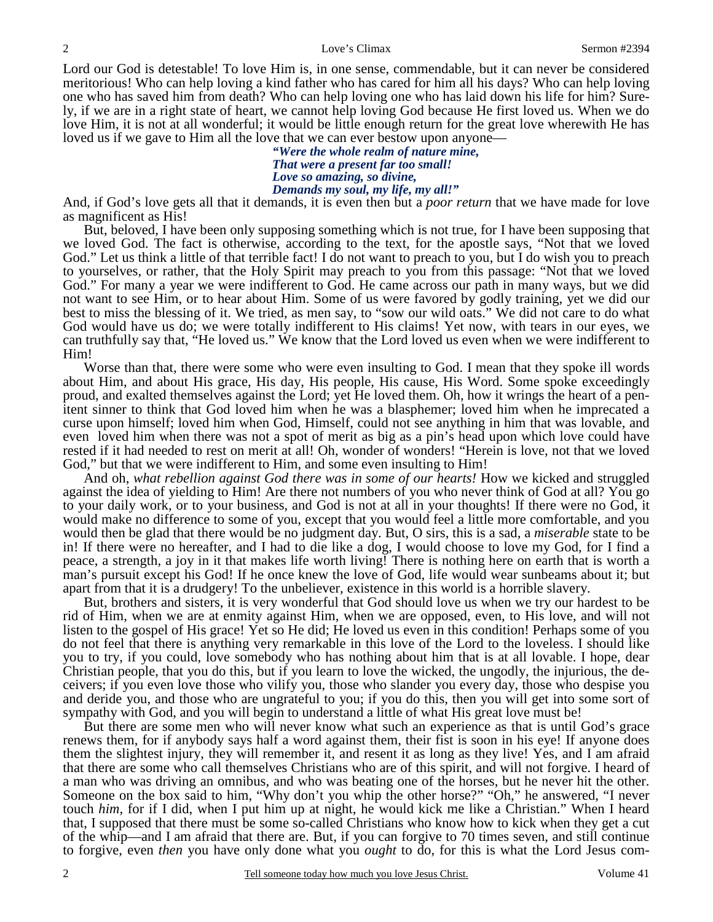Lord our God is detestable! To love Him is, in one sense, commendable, but it can never be considered meritorious! Who can help loving a kind father who has cared for him all his days? Who can help loving one who has saved him from death? Who can help loving one who has laid down his life for him? Surely, if we are in a right state of heart, we cannot help loving God because He first loved us. When we do love Him, it is not at all wonderful; it would be little enough return for the great love wherewith He has loved us if we gave to Him all the love that we can ever bestow upon anyone—

*"Were the whole realm of nature mine, That were a present far too small! Love so amazing, so divine, Demands my soul, my life, my all!"* 

And, if God's love gets all that it demands, it is even then but a *poor return* that we have made for love as magnificent as His!

 But, beloved, I have been only supposing something which is not true, for I have been supposing that we loved God. The fact is otherwise, according to the text, for the apostle says, "Not that we loved God." Let us think a little of that terrible fact! I do not want to preach to you, but I do wish you to preach to yourselves, or rather, that the Holy Spirit may preach to you from this passage: "Not that we loved God." For many a year we were indifferent to God. He came across our path in many ways, but we did not want to see Him, or to hear about Him. Some of us were favored by godly training, yet we did our best to miss the blessing of it. We tried, as men say, to "sow our wild oats." We did not care to do what God would have us do; we were totally indifferent to His claims! Yet now, with tears in our eyes, we can truthfully say that, "He loved us." We know that the Lord loved us even when we were indifferent to Him!

 Worse than that, there were some who were even insulting to God. I mean that they spoke ill words about Him, and about His grace, His day, His people, His cause, His Word. Some spoke exceedingly proud, and exalted themselves against the Lord; yet He loved them. Oh, how it wrings the heart of a penitent sinner to think that God loved him when he was a blasphemer; loved him when he imprecated a curse upon himself; loved him when God, Himself, could not see anything in him that was lovable, and even loved him when there was not a spot of merit as big as a pin's head upon which love could have rested if it had needed to rest on merit at all! Oh, wonder of wonders! "Herein is love, not that we loved God," but that we were indifferent to Him, and some even insulting to Him!

 And oh, *what rebellion against God there was in some of our hearts!* How we kicked and struggled against the idea of yielding to Him! Are there not numbers of you who never think of God at all? You go to your daily work, or to your business, and God is not at all in your thoughts! If there were no God, it would make no difference to some of you, except that you would feel a little more comfortable, and you would then be glad that there would be no judgment day. But, O sirs, this is a sad, a *miserable* state to be in! If there were no hereafter, and I had to die like a dog, I would choose to love my God, for I find a peace, a strength, a joy in it that makes life worth living! There is nothing here on earth that is worth a man's pursuit except his God! If he once knew the love of God, life would wear sunbeams about it; but apart from that it is a drudgery! To the unbeliever, existence in this world is a horrible slavery.

 But, brothers and sisters, it is very wonderful that God should love us when we try our hardest to be rid of Him, when we are at enmity against Him, when we are opposed, even, to His love, and will not listen to the gospel of His grace! Yet so He did; He loved us even in this condition! Perhaps some of you do not feel that there is anything very remarkable in this love of the Lord to the loveless. I should like you to try, if you could, love somebody who has nothing about him that is at all lovable. I hope, dear Christian people, that you do this, but if you learn to love the wicked, the ungodly, the injurious, the deceivers; if you even love those who vilify you, those who slander you every day, those who despise you and deride you, and those who are ungrateful to you; if you do this, then you will get into some sort of sympathy with God, and you will begin to understand a little of what His great love must be!

 But there are some men who will never know what such an experience as that is until God's grace renews them, for if anybody says half a word against them, their fist is soon in his eye! If anyone does them the slightest injury, they will remember it, and resent it as long as they live! Yes, and I am afraid that there are some who call themselves Christians who are of this spirit, and will not forgive. I heard of a man who was driving an omnibus, and who was beating one of the horses, but he never hit the other. Someone on the box said to him, "Why don't you whip the other horse?" "Oh," he answered, "I never touch *him*, for if I did, when I put him up at night, he would kick me like a Christian." When I heard that, I supposed that there must be some so-called Christians who know how to kick when they get a cut of the whip—and I am afraid that there are. But, if you can forgive to 70 times seven, and still continue to forgive, even *then* you have only done what you *ought* to do, for this is what the Lord Jesus com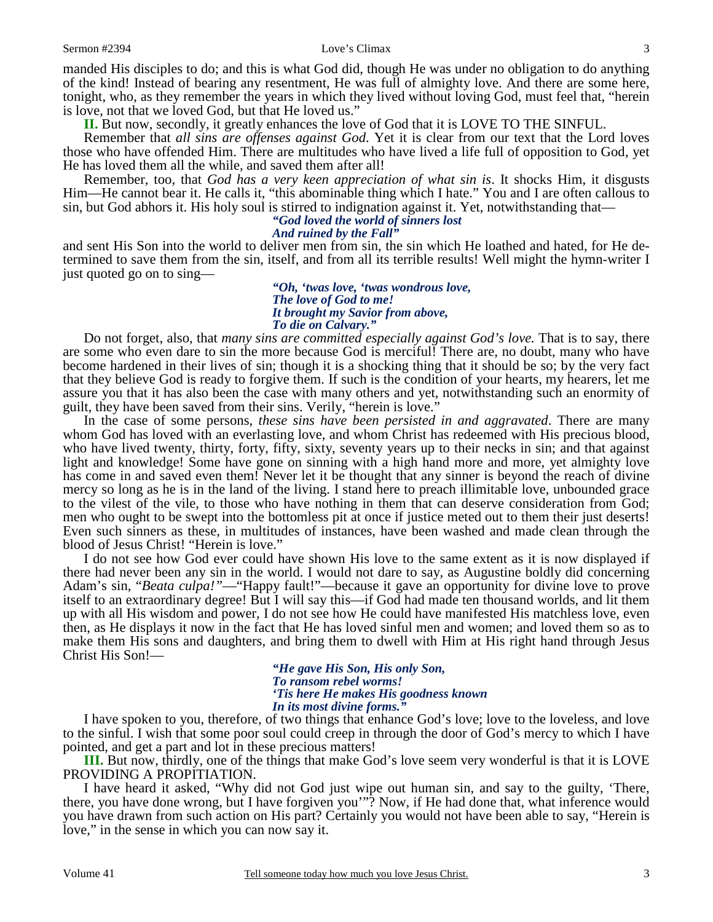manded His disciples to do; and this is what God did, though He was under no obligation to do anything of the kind! Instead of bearing any resentment, He was full of almighty love. And there are some here, tonight, who, as they remember the years in which they lived without loving God, must feel that, "herein is love, not that we loved God, but that He loved us."

**II.** But now, secondly, it greatly enhances the love of God that it is LOVE TO THE SINFUL.

 Remember that *all sins are offenses against God*. Yet it is clear from our text that the Lord loves those who have offended Him. There are multitudes who have lived a life full of opposition to God, yet He has loved them all the while, and saved them after all!

 Remember, too, that *God has a very keen appreciation of what sin is*. It shocks Him, it disgusts Him—He cannot bear it. He calls it, "this abominable thing which I hate." You and I are often callous to sin, but God abhors it. His holy soul is stirred to indignation against it. Yet, notwithstanding that—

## *"God loved the world of sinners lost*

#### *And ruined by the Fall"*

and sent His Son into the world to deliver men from sin, the sin which He loathed and hated, for He determined to save them from the sin, itself, and from all its terrible results! Well might the hymn-writer I just quoted go on to sing—

> *"Oh, 'twas love, 'twas wondrous love, The love of God to me! It brought my Savior from above, To die on Calvary."*

Do not forget, also, that *many sins are committed especially against God's love.* That is to say, there are some who even dare to sin the more because God is merciful! There are, no doubt, many who have become hardened in their lives of sin; though it is a shocking thing that it should be so; by the very fact that they believe God is ready to forgive them. If such is the condition of your hearts, my hearers, let me assure you that it has also been the case with many others and yet, notwithstanding such an enormity of guilt, they have been saved from their sins. Verily, "herein is love."

 In the case of some persons, *these sins have been persisted in and aggravated*. There are many whom God has loved with an everlasting love, and whom Christ has redeemed with His precious blood, who have lived twenty, thirty, forty, fifty, sixty, seventy years up to their necks in sin; and that against light and knowledge! Some have gone on sinning with a high hand more and more, yet almighty love has come in and saved even them! Never let it be thought that any sinner is beyond the reach of divine mercy so long as he is in the land of the living. I stand here to preach illimitable love, unbounded grace to the vilest of the vile, to those who have nothing in them that can deserve consideration from God; men who ought to be swept into the bottomless pit at once if justice meted out to them their just deserts! Even such sinners as these, in multitudes of instances, have been washed and made clean through the blood of Jesus Christ! "Herein is love."

 I do not see how God ever could have shown His love to the same extent as it is now displayed if there had never been any sin in the world. I would not dare to say, as Augustine boldly did concerning Adam's sin, "*Beata culpa!"*—"Happy fault!"—because it gave an opportunity for divine love to prove itself to an extraordinary degree! But I will say this—if God had made ten thousand worlds, and lit them up with all His wisdom and power, I do not see how He could have manifested His matchless love, even then, as He displays it now in the fact that He has loved sinful men and women; and loved them so as to make them His sons and daughters, and bring them to dwell with Him at His right hand through Jesus Christ His Son!—

*"He gave His Son, His only Son, To ransom rebel worms! 'Tis here He makes His goodness known In its most divine forms."* 

 I have spoken to you, therefore, of two things that enhance God's love; love to the loveless, and love to the sinful. I wish that some poor soul could creep in through the door of God's mercy to which I have pointed, and get a part and lot in these precious matters!

**III.** But now, thirdly, one of the things that make God's love seem very wonderful is that it is LOVE PROVIDING A PROPITIATION.

 I have heard it asked, "Why did not God just wipe out human sin, and say to the guilty, 'There, there, you have done wrong, but I have forgiven you'"? Now, if He had done that, what inference would you have drawn from such action on His part? Certainly you would not have been able to say, "Herein is love," in the sense in which you can now say it.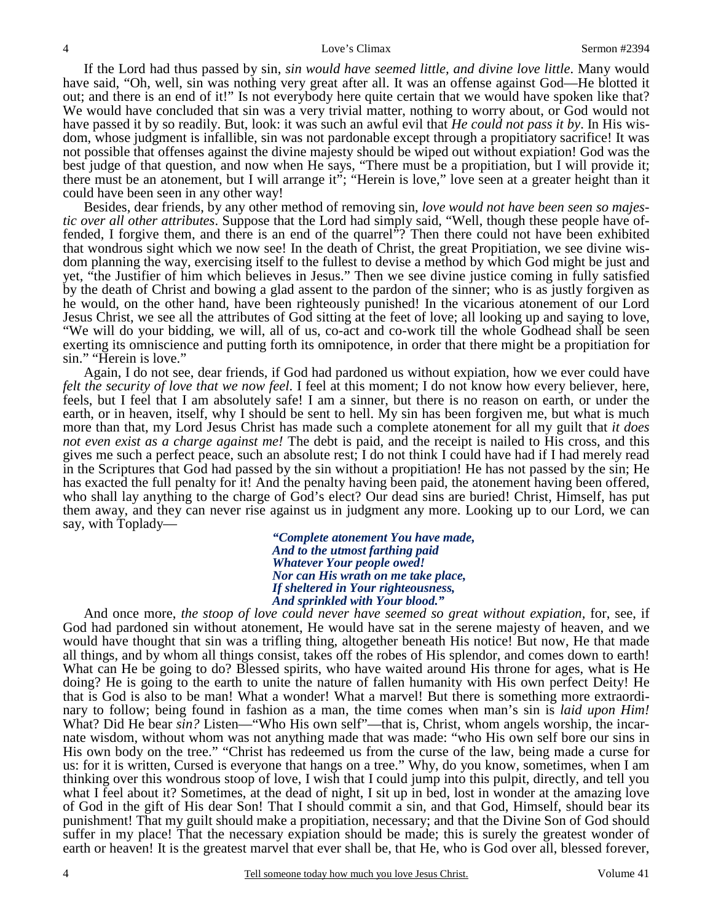If the Lord had thus passed by sin, *sin would have seemed little, and divine love little*. Many would have said, "Oh, well, sin was nothing very great after all. It was an offense against God—He blotted it out; and there is an end of it!" Is not everybody here quite certain that we would have spoken like that? We would have concluded that sin was a very trivial matter, nothing to worry about, or God would not have passed it by so readily. But, look: it was such an awful evil that *He could not pass it by*. In His wisdom, whose judgment is infallible, sin was not pardonable except through a propitiatory sacrifice! It was not possible that offenses against the divine majesty should be wiped out without expiation! God was the best judge of that question, and now when He says, "There must be a propitiation, but I will provide it; there must be an atonement, but I will arrange it"; "Herein is love," love seen at a greater height than it could have been seen in any other way!

 Besides, dear friends, by any other method of removing sin, *love would not have been seen so majestic over all other attributes*. Suppose that the Lord had simply said, "Well, though these people have offended, I forgive them, and there is an end of the quarrel"? Then there could not have been exhibited that wondrous sight which we now see! In the death of Christ, the great Propitiation, we see divine wisdom planning the way, exercising itself to the fullest to devise a method by which God might be just and yet, "the Justifier of him which believes in Jesus." Then we see divine justice coming in fully satisfied by the death of Christ and bowing a glad assent to the pardon of the sinner; who is as justly forgiven as he would, on the other hand, have been righteously punished! In the vicarious atonement of our Lord Jesus Christ, we see all the attributes of God sitting at the feet of love; all looking up and saying to love, "We will do your bidding, we will, all of us, co-act and co-work till the whole Godhead shall be seen exerting its omniscience and putting forth its omnipotence, in order that there might be a propitiation for sin." "Herein is love."

 Again, I do not see, dear friends, if God had pardoned us without expiation, how we ever could have *felt the security of love that we now feel*. I feel at this moment; I do not know how every believer, here, feels, but I feel that I am absolutely safe! I am a sinner, but there is no reason on earth, or under the earth, or in heaven, itself, why I should be sent to hell. My sin has been forgiven me, but what is much more than that, my Lord Jesus Christ has made such a complete atonement for all my guilt that *it does not even exist as a charge against me!* The debt is paid, and the receipt is nailed to His cross, and this gives me such a perfect peace, such an absolute rest; I do not think I could have had if I had merely read in the Scriptures that God had passed by the sin without a propitiation! He has not passed by the sin; He has exacted the full penalty for it! And the penalty having been paid, the atonement having been offered, who shall lay anything to the charge of God's elect? Our dead sins are buried! Christ, Himself, has put them away, and they can never rise against us in judgment any more. Looking up to our Lord, we can say, with Toplady—

> *"Complete atonement You have made, And to the utmost farthing paid Whatever Your people owed! Nor can His wrath on me take place, If sheltered in Your righteousness, And sprinkled with Your blood."*

And once more, *the stoop of love could never have seemed so great without expiation,* for, see, if God had pardoned sin without atonement, He would have sat in the serene majesty of heaven, and we would have thought that sin was a trifling thing, altogether beneath His notice! But now, He that made all things, and by whom all things consist, takes off the robes of His splendor, and comes down to earth! What can He be going to do? Blessed spirits, who have waited around His throne for ages, what is He doing? He is going to the earth to unite the nature of fallen humanity with His own perfect Deity! He that is God is also to be man! What a wonder! What a marvel! But there is something more extraordinary to follow; being found in fashion as a man, the time comes when man's sin is *laid upon Him!*  What? Did He bear *sin?* Listen—"Who His own self"—that is, Christ, whom angels worship, the incarnate wisdom, without whom was not anything made that was made: "who His own self bore our sins in His own body on the tree." "Christ has redeemed us from the curse of the law, being made a curse for us: for it is written, Cursed is everyone that hangs on a tree." Why, do you know, sometimes, when I am thinking over this wondrous stoop of love, I wish that I could jump into this pulpit, directly, and tell you what I feel about it? Sometimes, at the dead of night, I sit up in bed, lost in wonder at the amazing love of God in the gift of His dear Son! That I should commit a sin, and that God, Himself, should bear its punishment! That my guilt should make a propitiation, necessary; and that the Divine Son of God should suffer in my place! That the necessary expiation should be made; this is surely the greatest wonder of earth or heaven! It is the greatest marvel that ever shall be, that He, who is God over all, blessed forever,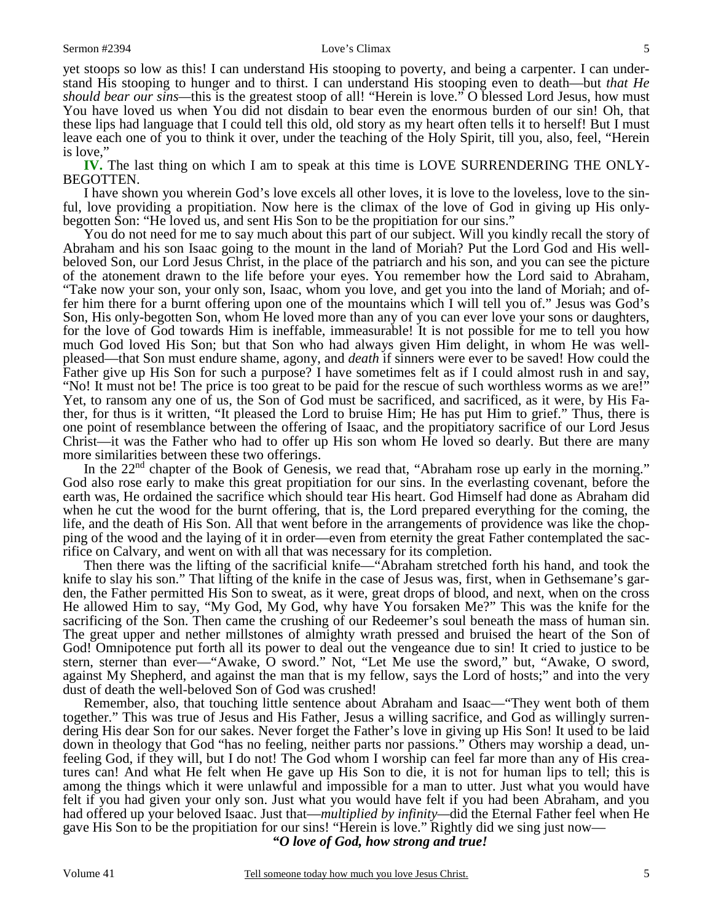#### Sermon #2394 **Sermon #2394** Sermon #2394 **S**

yet stoops so low as this! I can understand His stooping to poverty, and being a carpenter. I can understand His stooping to hunger and to thirst. I can understand His stooping even to death—but *that He should bear our sins—*this is the greatest stoop of all! "Herein is love." O blessed Lord Jesus, how must You have loved us when You did not disdain to bear even the enormous burden of our sin! Oh, that these lips had language that I could tell this old, old story as my heart often tells it to herself! But I must leave each one of you to think it over, under the teaching of the Holy Spirit, till you, also, feel, "Herein is love,"

**IV.** The last thing on which I am to speak at this time is LOVE SURRENDERING THE ONLY-BEGOTTEN.

 I have shown you wherein God's love excels all other loves, it is love to the loveless, love to the sinful, love providing a propitiation. Now here is the climax of the love of God in giving up His onlybegotten Son: "He loved us, and sent His Son to be the propitiation for our sins."

 You do not need for me to say much about this part of our subject. Will you kindly recall the story of Abraham and his son Isaac going to the mount in the land of Moriah? Put the Lord God and His wellbeloved Son, our Lord Jesus Christ, in the place of the patriarch and his son, and you can see the picture of the atonement drawn to the life before your eyes. You remember how the Lord said to Abraham, "Take now your son, your only son, Isaac, whom you love, and get you into the land of Moriah; and offer him there for a burnt offering upon one of the mountains which I will tell you of." Jesus was God's Son, His only-begotten Son, whom He loved more than any of you can ever love your sons or daughters, for the love of God towards Him is ineffable, immeasurable! It is not possible for me to tell you how much God loved His Son; but that Son who had always given Him delight, in whom He was wellpleased—that Son must endure shame, agony, and *death* if sinners were ever to be saved! How could the Father give up His Son for such a purpose? I have sometimes felt as if I could almost rush in and say, "No! It must not be! The price is too great to be paid for the rescue of such worthless worms as we are!" Yet, to ransom any one of us, the Son of God must be sacrificed, and sacrificed, as it were, by His Father, for thus is it written, "It pleased the Lord to bruise Him; He has put Him to grief." Thus, there is one point of resemblance between the offering of Isaac, and the propitiatory sacrifice of our Lord Jesus Christ—it was the Father who had to offer up His son whom He loved so dearly. But there are many more similarities between these two offerings.

In the  $22<sup>nd</sup>$  chapter of the Book of Genesis, we read that, "Abraham rose up early in the morning." God also rose early to make this great propitiation for our sins. In the everlasting covenant, before the earth was, He ordained the sacrifice which should tear His heart. God Himself had done as Abraham did when he cut the wood for the burnt offering, that is, the Lord prepared everything for the coming, the life, and the death of His Son. All that went before in the arrangements of providence was like the chopping of the wood and the laying of it in order—even from eternity the great Father contemplated the sacrifice on Calvary, and went on with all that was necessary for its completion.

 Then there was the lifting of the sacrificial knife—"Abraham stretched forth his hand, and took the knife to slay his son." That lifting of the knife in the case of Jesus was, first, when in Gethsemane's garden, the Father permitted His Son to sweat, as it were, great drops of blood, and next, when on the cross He allowed Him to say, "My God, My God, why have You forsaken Me?" This was the knife for the sacrificing of the Son. Then came the crushing of our Redeemer's soul beneath the mass of human sin. The great upper and nether millstones of almighty wrath pressed and bruised the heart of the Son of God! Omnipotence put forth all its power to deal out the vengeance due to sin! It cried to justice to be stern, sterner than ever—"Awake, O sword." Not, "Let Me use the sword," but, "Awake, O sword, against My Shepherd, and against the man that is my fellow, says the Lord of hosts;" and into the very dust of death the well-beloved Son of God was crushed!

 Remember, also, that touching little sentence about Abraham and Isaac—"They went both of them together." This was true of Jesus and His Father, Jesus a willing sacrifice, and God as willingly surrendering His dear Son for our sakes. Never forget the Father's love in giving up His Son! It used to be laid down in theology that God "has no feeling, neither parts nor passions." Others may worship a dead, unfeeling God, if they will, but I do not! The God whom I worship can feel far more than any of His creatures can! And what He felt when He gave up His Son to die, it is not for human lips to tell; this is among the things which it were unlawful and impossible for a man to utter. Just what you would have felt if you had given your only son. Just what you would have felt if you had been Abraham, and you had offered up your beloved Isaac. Just that—*multiplied by infinity—*did the Eternal Father feel when He gave His Son to be the propitiation for our sins! "Herein is love." Rightly did we sing just now—

*"O love of God, how strong and true!*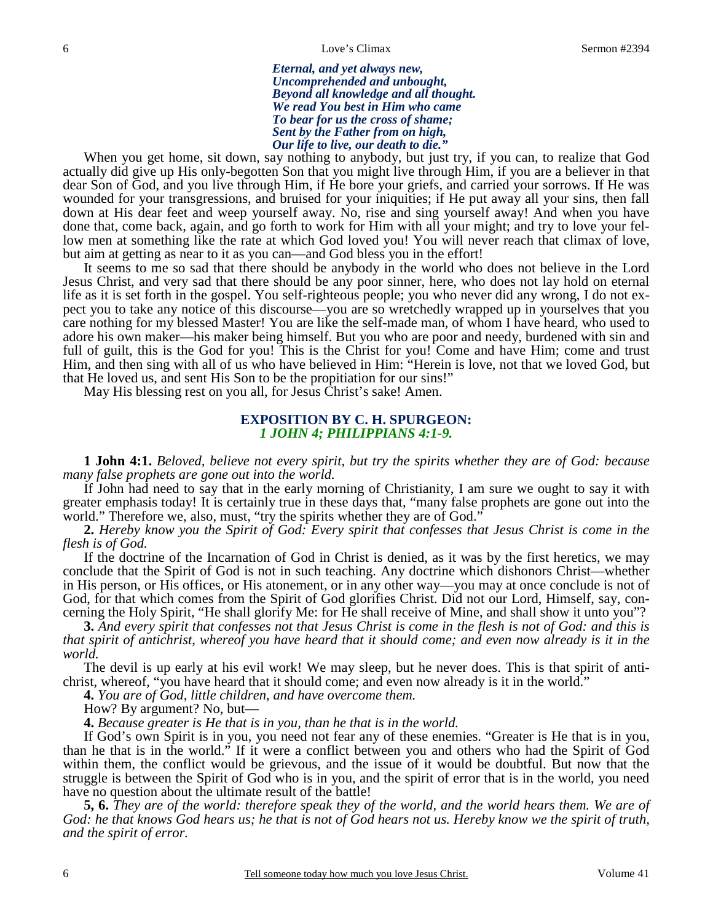*Eternal, and yet always new, Uncomprehended and unbought, Beyond all knowledge and all thought. We read You best in Him who came To bear for us the cross of shame; Sent by the Father from on high, Our life to live, our death to die."* 

When you get home, sit down, say nothing to anybody, but just try, if you can, to realize that God actually did give up His only-begotten Son that you might live through Him, if you are a believer in that dear Son of God, and you live through Him, if He bore your griefs, and carried your sorrows. If He was wounded for your transgressions, and bruised for your iniquities; if He put away all your sins, then fall down at His dear feet and weep yourself away. No, rise and sing yourself away! And when you have done that, come back, again, and go forth to work for Him with all your might; and try to love your fellow men at something like the rate at which God loved you! You will never reach that climax of love, but aim at getting as near to it as you can—and God bless you in the effort!

 It seems to me so sad that there should be anybody in the world who does not believe in the Lord Jesus Christ, and very sad that there should be any poor sinner, here, who does not lay hold on eternal life as it is set forth in the gospel. You self-righteous people; you who never did any wrong, I do not expect you to take any notice of this discourse—you are so wretchedly wrapped up in yourselves that you care nothing for my blessed Master! You are like the self-made man, of whom I have heard, who used to adore his own maker—his maker being himself. But you who are poor and needy, burdened with sin and full of guilt, this is the God for you! This is the Christ for you! Come and have Him; come and trust Him, and then sing with all of us who have believed in Him: "Herein is love, not that we loved God, but that He loved us, and sent His Son to be the propitiation for our sins!"

May His blessing rest on you all, for Jesus Christ's sake! Amen.

### **EXPOSITION BY C. H. SPURGEON:**  *1 JOHN 4; PHILIPPIANS 4:1-9.*

**1 John 4:1.** *Beloved, believe not every spirit, but try the spirits whether they are of God: because many false prophets are gone out into the world.* 

If John had need to say that in the early morning of Christianity, I am sure we ought to say it with greater emphasis today! It is certainly true in these days that, "many false prophets are gone out into the world." Therefore we, also, must, "try the spirits whether they are of God."

**2.** *Hereby know you the Spirit of God: Every spirit that confesses that Jesus Christ is come in the flesh is of God.* 

If the doctrine of the Incarnation of God in Christ is denied, as it was by the first heretics, we may conclude that the Spirit of God is not in such teaching. Any doctrine which dishonors Christ—whether in His person, or His offices, or His atonement, or in any other way—you may at once conclude is not of God, for that which comes from the Spirit of God glorifies Christ. Did not our Lord, Himself, say, concerning the Holy Spirit, "He shall glorify Me: for He shall receive of Mine, and shall show it unto you"?

**3.** *And every spirit that confesses not that Jesus Christ is come in the flesh is not of God: and this is that spirit of antichrist, whereof you have heard that it should come; and even now already is it in the world.* 

The devil is up early at his evil work! We may sleep, but he never does. This is that spirit of antichrist, whereof, "you have heard that it should come; and even now already is it in the world."

**4.** *You are of God, little children, and have overcome them.* 

How? By argument? No, but—

**4.** *Because greater is He that is in you, than he that is in the world.* 

If God's own Spirit is in you, you need not fear any of these enemies. "Greater is He that is in you, than he that is in the world." If it were a conflict between you and others who had the Spirit of God within them, the conflict would be grievous, and the issue of it would be doubtful. But now that the struggle is between the Spirit of God who is in you, and the spirit of error that is in the world, you need have no question about the ultimate result of the battle!

**5, 6.** *They are of the world: therefore speak they of the world, and the world hears them. We are of God: he that knows God hears us; he that is not of God hears not us. Hereby know we the spirit of truth, and the spirit of error.*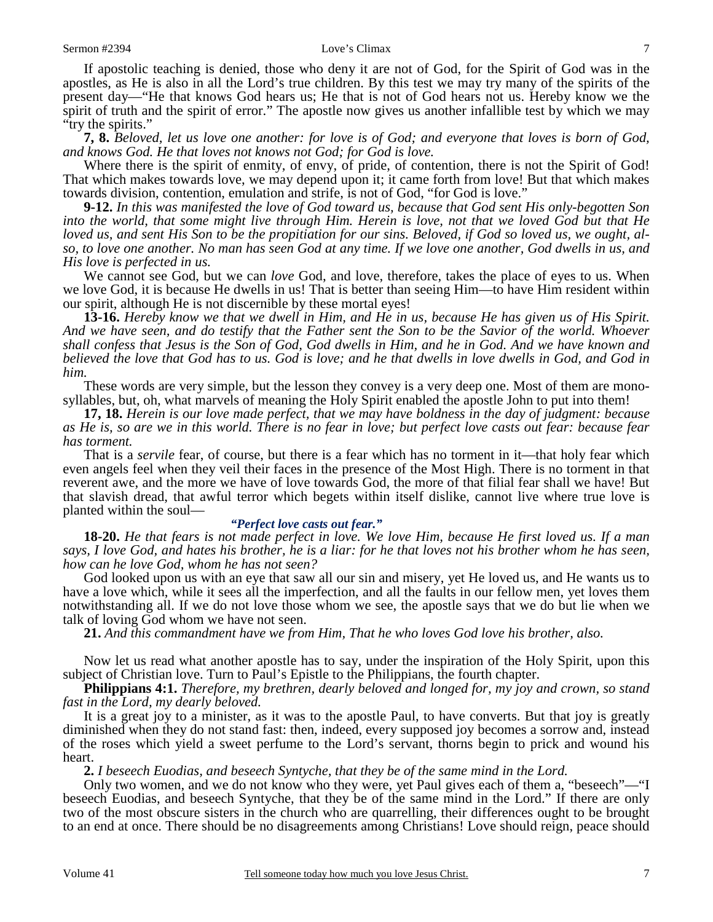#### Sermon #2394 **Sermon #2394 Love's Climax C L**ove's Climax **P**

If apostolic teaching is denied, those who deny it are not of God, for the Spirit of God was in the apostles, as He is also in all the Lord's true children. By this test we may try many of the spirits of the present day—"He that knows God hears us; He that is not of God hears not us. Hereby know we the spirit of truth and the spirit of error." The apostle now gives us another infallible test by which we may "try the spirits."

**7, 8.** *Beloved, let us love one another: for love is of God; and everyone that loves is born of God, and knows God. He that loves not knows not God; for God is love.* 

Where there is the spirit of enmity, of envy, of pride, of contention, there is not the Spirit of God! That which makes towards love, we may depend upon it; it came forth from love! But that which makes towards division, contention, emulation and strife, is not of God, "for God is love."

**9-12.** *In this was manifested the love of God toward us, because that God sent His only-begotten Son into the world, that some might live through Him. Herein is love, not that we loved God but that He loved us, and sent His Son to be the propitiation for our sins. Beloved, if God so loved us, we ought, also, to love one another. No man has seen God at any time. If we love one another, God dwells in us, and His love is perfected in us.* 

We cannot see God, but we can *love* God, and love, therefore, takes the place of eyes to us. When we love God, it is because He dwells in us! That is better than seeing Him—to have Him resident within our spirit, although He is not discernible by these mortal eyes!

**13-16.** *Hereby know we that we dwell in Him, and He in us, because He has given us of His Spirit. And we have seen, and do testify that the Father sent the Son to be the Savior of the world. Whoever shall confess that Jesus is the Son of God, God dwells in Him, and he in God. And we have known and believed the love that God has to us. God is love; and he that dwells in love dwells in God, and God in him.* 

These words are very simple, but the lesson they convey is a very deep one. Most of them are monosyllables, but, oh, what marvels of meaning the Holy Spirit enabled the apostle John to put into them!

**17, 18.** *Herein is our love made perfect, that we may have boldness in the day of judgment: because as He is, so are we in this world. There is no fear in love; but perfect love casts out fear: because fear has torment.* 

That is a *servile* fear, of course, but there is a fear which has no torment in it—that holy fear which even angels feel when they veil their faces in the presence of the Most High. There is no torment in that reverent awe, and the more we have of love towards God, the more of that filial fear shall we have! But that slavish dread, that awful terror which begets within itself dislike, cannot live where true love is planted within the soul—

## *"Perfect love casts out fear."*

**18-20.** *He that fears is not made perfect in love. We love Him, because He first loved us. If a man says, I love God, and hates his brother, he is a liar: for he that loves not his brother whom he has seen, how can he love God, whom he has not seen?* 

God looked upon us with an eye that saw all our sin and misery, yet He loved us, and He wants us to have a love which, while it sees all the imperfection, and all the faults in our fellow men, yet loves them notwithstanding all. If we do not love those whom we see, the apostle says that we do but lie when we talk of loving God whom we have not seen.

**21.** *And this commandment have we from Him, That he who loves God love his brother, also.* 

Now let us read what another apostle has to say, under the inspiration of the Holy Spirit, upon this subject of Christian love. Turn to Paul's Epistle to the Philippians, the fourth chapter.

**Philippians 4:1.** *Therefore, my brethren, dearly beloved and longed for, my joy and crown, so stand fast in the Lord, my dearly beloved.* 

It is a great joy to a minister, as it was to the apostle Paul, to have converts. But that joy is greatly diminished when they do not stand fast: then, indeed, every supposed joy becomes a sorrow and, instead of the roses which yield a sweet perfume to the Lord's servant, thorns begin to prick and wound his heart.

**2.** *I beseech Euodias, and beseech Syntyche, that they be of the same mind in the Lord.* 

Only two women, and we do not know who they were, yet Paul gives each of them a, "beseech"—"I beseech Euodias, and beseech Syntyche, that they be of the same mind in the Lord." If there are only two of the most obscure sisters in the church who are quarrelling, their differences ought to be brought to an end at once. There should be no disagreements among Christians! Love should reign, peace should